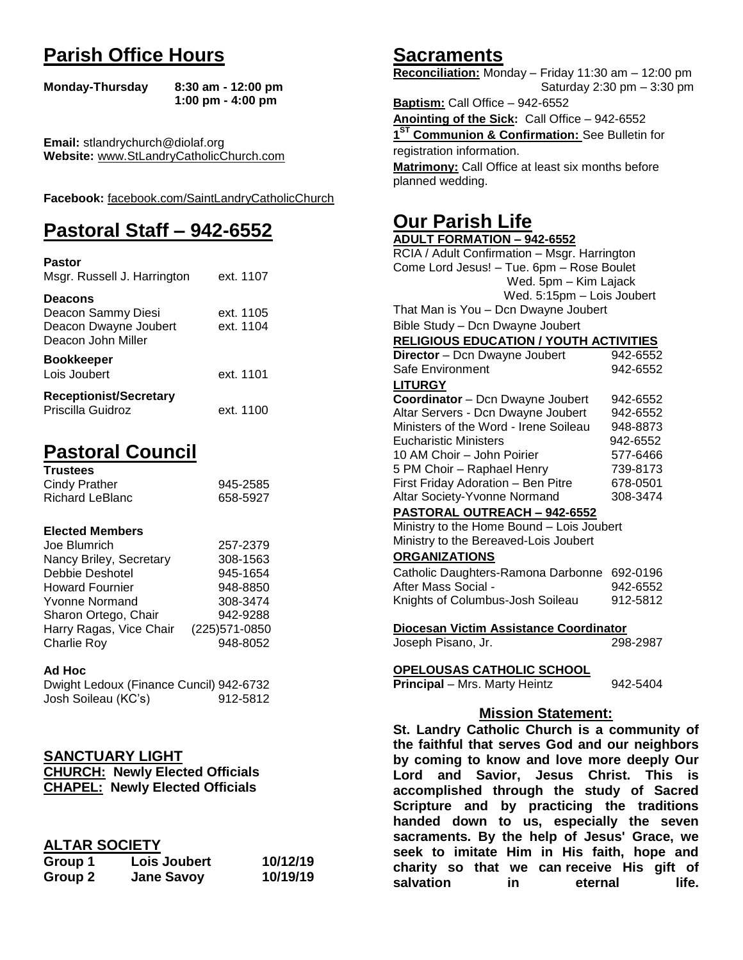# **Parish Office Hours**

```
Monday-Thursday 8:30 am - 12:00 pm
       1:00 pm - 4:00 pm
```
**Email:** stlandrychurch@diolaf.org **Website:** [www.StLandryCatholicChurch.com](http://www.stlandrycatholicchurch.com/)

**Facebook:** [facebook.com/SaintLandryCatholicChurch](http://facebook.com/SaintLandryCatholicChurch)

# **Pastoral Staff – 942-6552**

| <b>Pastor</b><br>Msgr. Russell J. Harrington                                        | ext. 1107              |
|-------------------------------------------------------------------------------------|------------------------|
| <b>Deacons</b><br>Deacon Sammy Diesi<br>Deacon Dwayne Joubert<br>Deacon John Miller | ext. 1105<br>ext. 1104 |
| <b>Bookkeeper</b><br>Lois Joubert                                                   | ext. 1101              |
| <b>Receptionist/Secretary</b><br>Priscilla Guidroz                                  | ext. 1100              |

# **Pastoral Council**

| <b>Trustees</b> |          |
|-----------------|----------|
| Cindy Prather   | 945-2585 |
| Richard LeBlanc | 658-5927 |

# **Elected Members**

| Joe Blumrich            | 257-2379       |
|-------------------------|----------------|
| Nancy Briley, Secretary | 308-1563       |
| Debbie Deshotel         | 945-1654       |
| <b>Howard Fournier</b>  | 948-8850       |
| <b>Yvonne Normand</b>   | 308-3474       |
| Sharon Ortego, Chair    | 942-9288       |
| Harry Ragas, Vice Chair | (225) 571-0850 |
| <b>Charlie Roy</b>      | 948-8052       |

#### **Ad Hoc**

| Dwight Ledoux (Finance Cuncil) 942-6732 |          |
|-----------------------------------------|----------|
| Josh Soileau (KC's)                     | 912-5812 |

# **SANCTUARY LIGHT**

| <b>CHURCH: Newly Elected Officials</b> |
|----------------------------------------|
| <b>CHAPEL: Newly Elected Officials</b> |

# **ALTAR SOCIETY**

| Group 1 | Lois Joubert      | 10/12/19 |
|---------|-------------------|----------|
| Group 2 | <b>Jane Savoy</b> | 10/19/19 |

# **Sacraments**

**Reconciliation:** Monday – Friday 11:30 am – 12:00 pm Saturday 2:30 pm – 3:30 pm

**Baptism:** Call Office – 942-6552 **Anointing of the Sick:** Call Office – 942-6552 **1 ST Communion & Confirmation:** See Bulletin for registration information. **Matrimony:** Call Office at least six months before planned wedding.

# **Our Parish Life**

| <b>ADULT FORMATION - 942-6552</b>              |            |
|------------------------------------------------|------------|
| RCIA / Adult Confirmation - Msgr. Harrington   |            |
| Come Lord Jesus! - Tue. 6pm - Rose Boulet      |            |
| Wed. 5pm - Kim Lajack                          |            |
| Wed. 5:15pm - Lois Joubert                     |            |
| That Man is You - Dcn Dwayne Joubert           |            |
| Bible Study - Dcn Dwayne Joubert               |            |
| <b>RELIGIOUS EDUCATION / YOUTH ACTIVITIES</b>  |            |
| Director - Dcn Dwayne Joubert                  | 942-6552   |
| Safe Environment                               | 942-6552   |
| <b>LITURGY</b>                                 |            |
| Coordinator - Dcn Dwayne Joubert               | 942-6552   |
| Altar Servers - Dcn Dwayne Joubert             | 942-6552   |
| Ministers of the Word - Irene Soileau          | 948-8873   |
| <b>Eucharistic Ministers</b>                   | 942-6552   |
| 10 AM Choir - John Poirier                     | 577-6466   |
| 5 PM Choir - Raphael Henry                     | 739-8173   |
| First Friday Adoration - Ben Pitre             | 678-0501   |
| Altar Society-Yvonne Normand                   | 308-3474   |
| PASTORAL OUTREACH - 942-6552                   |            |
| Ministry to the Home Bound - Lois Joubert      |            |
| Ministry to the Bereaved-Lois Joubert          |            |
| <b>ORGANIZATIONS</b>                           |            |
| Catholic Daughters-Ramona Darbonne 692-0196    |            |
| After Mass Social -<br>942-6552                |            |
| Knights of Columbus-Josh Soileau               | 912-5812   |
|                                                |            |
| Diocesan Victim Assistance Coordinator         |            |
| Joseph Pisano, Jr.                             | 298-2987   |
|                                                |            |
| <b>OPELOUSAS CATHOLIC SCHOOL</b>               |            |
| Principal - Mrs. Marty Heintz                  | 942-5404   |
|                                                |            |
| <b>Mission Statement:</b>                      |            |
| St. Landry Catholic Church is a community of   |            |
| the faithful that serves God and our neighbors |            |
| by coming to know and love more deeply Our     |            |
| Lord<br>and<br>Savior, Jesus Christ.           | This<br>is |
| accomplished through the study of Sacred       |            |
| Scripture and by practicing the traditions     |            |
| to us, especially the seven<br>handed down     |            |

**sacraments. By the help of Jesus' Grace, we seek to imitate Him in His faith, hope and charity so that we can receive His gift of salvation** in eternal life.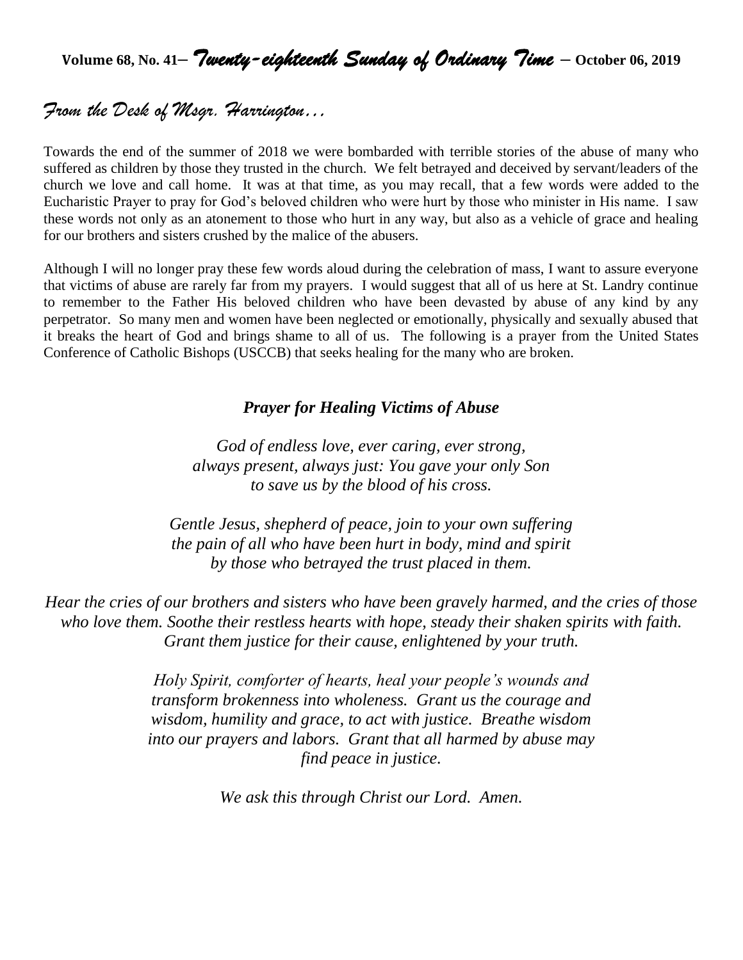**Volume 68, No. 41–** *Twenty-eighteenth Sunday of Ordinary Time* **– October 06, <sup>2019</sup>**

# *From the Desk of Msgr. Harrington…*

Towards the end of the summer of 2018 we were bombarded with terrible stories of the abuse of many who suffered as children by those they trusted in the church. We felt betrayed and deceived by servant/leaders of the church we love and call home. It was at that time, as you may recall, that a few words were added to the Eucharistic Prayer to pray for God's beloved children who were hurt by those who minister in His name. I saw these words not only as an atonement to those who hurt in any way, but also as a vehicle of grace and healing for our brothers and sisters crushed by the malice of the abusers.

Although I will no longer pray these few words aloud during the celebration of mass, I want to assure everyone that victims of abuse are rarely far from my prayers. I would suggest that all of us here at St. Landry continue to remember to the Father His beloved children who have been devasted by abuse of any kind by any perpetrator. So many men and women have been neglected or emotionally, physically and sexually abused that it breaks the heart of God and brings shame to all of us. The following is a prayer from the United States Conference of Catholic Bishops (USCCB) that seeks healing for the many who are broken.

# *Prayer for Healing Victims of Abuse*

*God of endless love, ever caring, ever strong, always present, always just: You gave your only Son to save us by the blood of his cross.*

*Gentle Jesus, shepherd of peace, join to your own suffering the pain of all who have been hurt in body, mind and spirit by those who betrayed the trust placed in them.*

*Hear the cries of our brothers and sisters who have been gravely harmed, and the cries of those who love them. Soothe their restless hearts with hope, steady their shaken spirits with faith. Grant them justice for their cause, enlightened by your truth.*

> *Holy Spirit, comforter of hearts, heal your people's wounds and transform brokenness into wholeness. Grant us the courage and wisdom, humility and grace, to act with justice. Breathe wisdom into our prayers and labors. Grant that all harmed by abuse may find peace in justice.*

> > *We ask this through Christ our Lord. Amen.*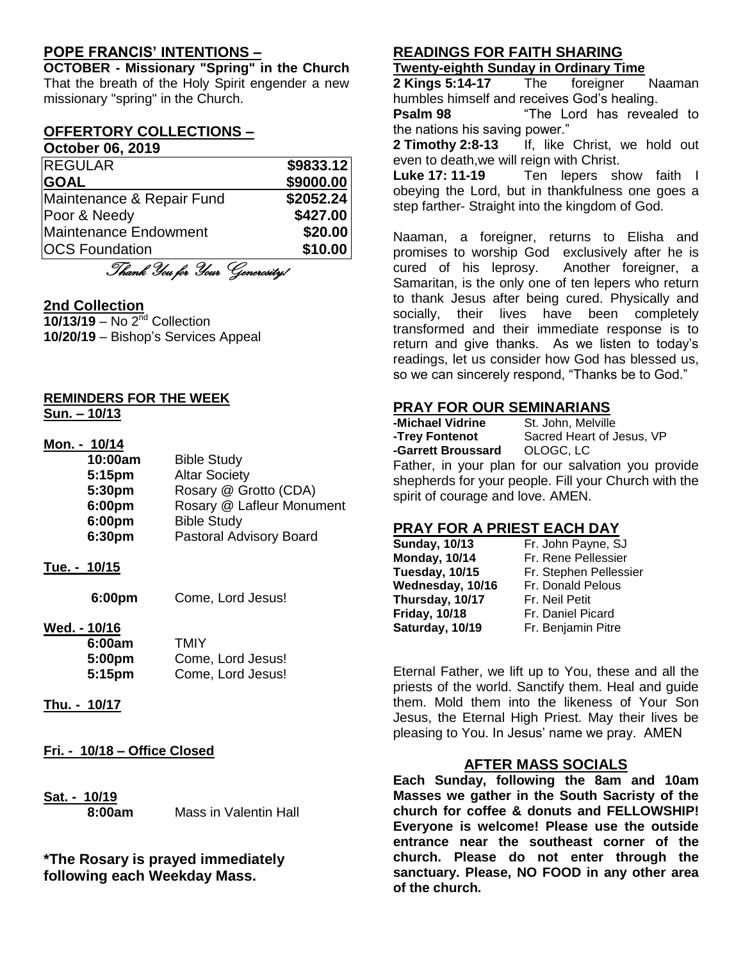# **POPE FRANCIS' INTENTIONS –**

**OCTOBER - Missionary "Spring" in the Church** That the breath of the Holy Spirit engender a new missionary "spring" in the Church.

#### **OFFERTORY COLLECTIONS – October 06, 2019**

| <b>OCIODEI 00, ZUIJ</b>   |           |
|---------------------------|-----------|
| <b>REGULAR</b>            | \$9833.12 |
| <b>GOAL</b>               | \$9000.00 |
| Maintenance & Repair Fund | \$2052.24 |
| Poor & Needy              | \$427.00  |
| Maintenance Endowment     | \$20.00   |
| <b>OCS Foundation</b>     | \$10.00   |
| $\sim$ $\sim$             |           |

Thank You for Your Generosity!

# **2nd Collection**

**10/13/19** – No 2nd Collection **10/20/19** – Bishop's Services Appeal

#### **REMINDERS FOR THE WEEK Sun. – 10/13**

| Mon. - 10/14 |                           |
|--------------|---------------------------|
| 10:00am      | <b>Bible Study</b>        |
| 5:15pm       | <b>Altar Society</b>      |
| 5:30pm       | Rosary @ Grotto (CDA)     |
| 6:00pm       | Rosary @ Lafleur Monument |
| 6:00pm       | <b>Bible Study</b>        |
| 6:30pm       | Pastoral Advisory Board   |

**Tue. - 10/15**

**6:00pm** Come, Lord Jesus!

**Wed. - 10/16**

| 6:00am | TMIY              |
|--------|-------------------|
| 5:00pm | Come, Lord Jesus! |
| 5:15pm | Come, Lord Jesus! |

- **Thu. - 10/17**
- **Fri. - 10/18 – Office Closed**
- **Sat. - 10/19**

**8:00am** Mass in Valentin Hall

**\*The Rosary is prayed immediately following each Weekday Mass.**

# **READINGS FOR FAITH SHARING**

# **Twenty-eighth Sunday in Ordinary Time**

**2 Kings 5:14-17** The foreigner Naaman humbles himself and receives God's healing.

**Psalm 98** "The Lord has revealed to the nations his saving power."

**2 Timothy 2:8-13** If, like Christ, we hold out even to death,we will reign with Christ.

**Luke 17: 11-19** Ten lepers show faith I obeying the Lord, but in thankfulness one goes a step farther- Straight into the kingdom of God.

Naaman, a foreigner, returns to Elisha and promises to worship God exclusively after he is cured of his leprosy. Another foreigner, a Samaritan, is the only one of ten lepers who return to thank Jesus after being cured. Physically and socially, their lives have been completely transformed and their immediate response is to return and give thanks. As we listen to today's readings, let us consider how God has blessed us, so we can sincerely respond, "Thanks be to God."

# **PRAY FOR OUR SEMINARIANS**

**-Michael Vidrine** St. John, Melville **-Trey Fontenot** Sacred Heart of Jesus, VP **-Garrett Broussard** OLOGC, LC Father, in your plan for our salvation you provide shepherds for your people. Fill your Church with the spirit of courage and love. AMEN.

# **PRAY FOR A PRIEST EACH DAY**

| <b>Sunday, 10/13</b> | Fr. John Payne, SJ     |
|----------------------|------------------------|
| <b>Monday, 10/14</b> | Fr. Rene Pellessier    |
| Tuesday, 10/15       | Fr. Stephen Pellessier |
| Wednesday, 10/16     | Fr. Donald Pelous      |
| Thursday, 10/17      | Fr. Neil Petit         |
| <b>Friday, 10/18</b> | Fr. Daniel Picard      |
| Saturday, 10/19      | Fr. Benjamin Pitre     |

Eternal Father, we lift up to You, these and all the priests of the world. Sanctify them. Heal and guide them. Mold them into the likeness of Your Son Jesus, the Eternal High Priest. May their lives be pleasing to You. In Jesus' name we pray. AMEN

# **AFTER MASS SOCIALS**

**Each Sunday, following the 8am and 10am Masses we gather in the South Sacristy of the church for coffee & donuts and FELLOWSHIP! Everyone is welcome! Please use the outside entrance near the southeast corner of the church. Please do not enter through the sanctuary. Please, NO FOOD in any other area of the church.**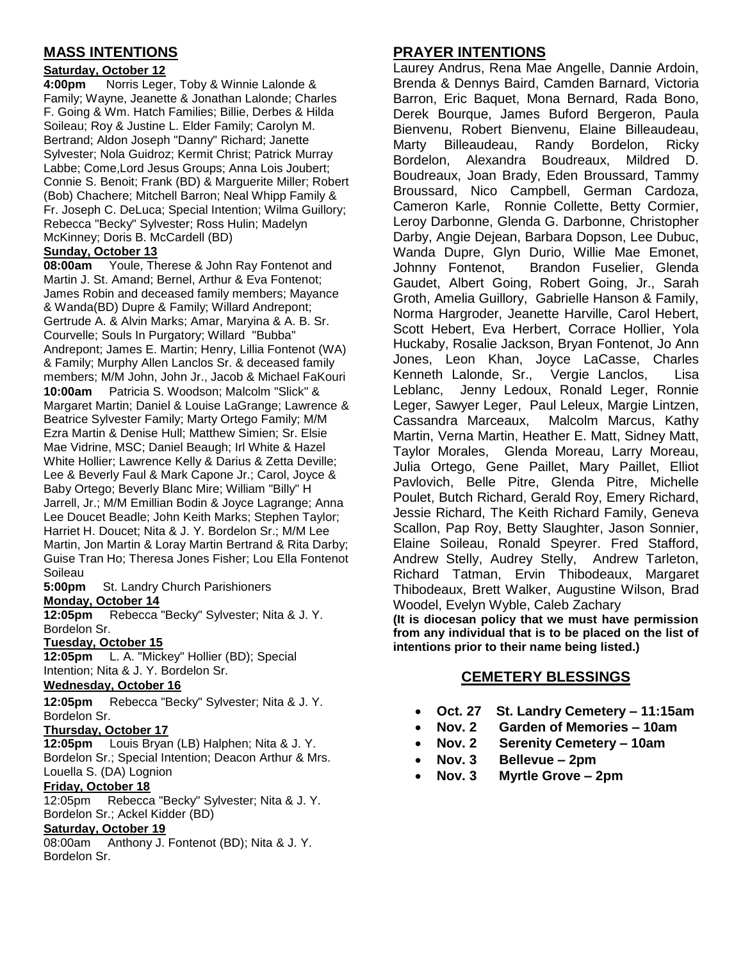# **MASS INTENTIONS**

# **Saturday, October 12**

**4:00pm** Norris Leger, Toby & Winnie Lalonde & Family; Wayne, Jeanette & Jonathan Lalonde; Charles F. Going & Wm. Hatch Families; Billie, Derbes & Hilda Soileau; Roy & Justine L. Elder Family; Carolyn M. Bertrand; Aldon Joseph "Danny" Richard; Janette Sylvester; Nola Guidroz; Kermit Christ; Patrick Murray Labbe; Come,Lord Jesus Groups; Anna Lois Joubert; Connie S. Benoit; Frank (BD) & Marguerite Miller; Robert (Bob) Chachere; Mitchell Barron; Neal Whipp Family & Fr. Joseph C. DeLuca; Special Intention; Wilma Guillory; Rebecca "Becky" Sylvester; Ross Hulin; Madelyn McKinney; Doris B. McCardell (BD)

# **Sunday, October 13**

**08:00am** Youle, Therese & John Ray Fontenot and Martin J. St. Amand; Bernel, Arthur & Eva Fontenot; James Robin and deceased family members; Mayance & Wanda(BD) Dupre & Family; Willard Andrepont; Gertrude A. & Alvin Marks; Amar, Maryina & A. B. Sr. Courvelle; Souls In Purgatory; Willard "Bubba" Andrepont; James E. Martin; Henry, Lillia Fontenot (WA) & Family; Murphy Allen Lanclos Sr. & deceased family members; M/M John, John Jr., Jacob & Michael FaKouri **10:00am** Patricia S. Woodson; Malcolm "Slick" & Margaret Martin; Daniel & Louise LaGrange; Lawrence & Beatrice Sylvester Family; Marty Ortego Family; M/M Ezra Martin & Denise Hull; Matthew Simien; Sr. Elsie Mae Vidrine, MSC; Daniel Beaugh; Irl White & Hazel White Hollier; Lawrence Kelly & Darius & Zetta Deville; Lee & Beverly Faul & Mark Capone Jr.; Carol, Joyce & Baby Ortego; Beverly Blanc Mire; William "Billy" H Jarrell, Jr.; M/M Emillian Bodin & Joyce Lagrange; Anna Lee Doucet Beadle; John Keith Marks; Stephen Taylor; Harriet H. Doucet; Nita & J. Y. Bordelon Sr.; M/M Lee Martin, Jon Martin & Loray Martin Bertrand & Rita Darby; Guise Tran Ho; Theresa Jones Fisher; Lou Ella Fontenot **Soileau** 

**5:00pm** St. Landry Church Parishioners **Monday, October 14**

**12:05pm** Rebecca "Becky" Sylvester; Nita & J. Y. Bordelon Sr.

#### **Tuesday, October 15**

**12:05pm** L. A. "Mickey" Hollier (BD); Special Intention; Nita & J. Y. Bordelon Sr.

#### **Wednesday, October 16**

**12:05pm** Rebecca "Becky" Sylvester; Nita & J. Y. Bordelon Sr.

#### **Thursday, October 17**

**12:05pm** Louis Bryan (LB) Halphen; Nita & J. Y. Bordelon Sr.; Special Intention; Deacon Arthur & Mrs. Louella S. (DA) Lognion

# **Friday, October 18**<br>12:05pm Rebecca

Rebecca "Becky" Sylvester; Nita & J. Y. Bordelon Sr.; Ackel Kidder (BD)

#### **Saturday, October 19**

08:00am Anthony J. Fontenot (BD); Nita & J. Y. Bordelon Sr.

# **PRAYER INTENTIONS**

Laurey Andrus, Rena Mae Angelle, Dannie Ardoin, Brenda & Dennys Baird, Camden Barnard, Victoria Barron, Eric Baquet, Mona Bernard, Rada Bono, Derek Bourque, James Buford Bergeron, Paula Bienvenu, Robert Bienvenu, Elaine Billeaudeau, Marty Billeaudeau, Randy Bordelon, Ricky Bordelon, Alexandra Boudreaux, Mildred D. Boudreaux, Joan Brady, Eden Broussard, Tammy Broussard, Nico Campbell, German Cardoza, Cameron Karle, Ronnie Collette, Betty Cormier, Leroy Darbonne, Glenda G. Darbonne, Christopher Darby, Angie Dejean, Barbara Dopson, Lee Dubuc, Wanda Dupre, Glyn Durio, Willie Mae Emonet, Johnny Fontenot, Brandon Fuselier, Glenda Gaudet, Albert Going, Robert Going, Jr., Sarah Groth, Amelia Guillory, Gabrielle Hanson & Family, Norma Hargroder, Jeanette Harville, Carol Hebert, Scott Hebert, Eva Herbert, Corrace Hollier, Yola Huckaby, Rosalie Jackson, Bryan Fontenot, Jo Ann Jones, Leon Khan, Joyce LaCasse, Charles Kenneth Lalonde, Sr., Vergie Lanclos, Lisa Leblanc, Jenny Ledoux, Ronald Leger, Ronnie Leger, Sawyer Leger, Paul Leleux, Margie Lintzen, Cassandra Marceaux, Malcolm Marcus, Kathy Martin, Verna Martin, Heather E. Matt, Sidney Matt, Taylor Morales, Glenda Moreau, Larry Moreau, Julia Ortego, Gene Paillet, Mary Paillet, Elliot Pavlovich, Belle Pitre, Glenda Pitre, Michelle Poulet, Butch Richard, Gerald Roy, Emery Richard, Jessie Richard, The Keith Richard Family, Geneva Scallon, Pap Roy, Betty Slaughter, Jason Sonnier, Elaine Soileau, Ronald Speyrer. Fred Stafford, Andrew Stelly, Audrey Stelly, Andrew Tarleton, Richard Tatman, Ervin Thibodeaux, Margaret Thibodeaux, Brett Walker, Augustine Wilson, Brad Woodel, Evelyn Wyble, Caleb Zachary

**(It is diocesan policy that we must have permission from any individual that is to be placed on the list of intentions prior to their name being listed.)**

# **CEMETERY BLESSINGS**

- **Oct. 27 St. Landry Cemetery – 11:15am**
- **Nov. 2 Garden of Memories – 10am**
- **Nov. 2 Serenity Cemetery – 10am**
- **Nov. 3 Bellevue – 2pm**
- **Nov. 3 Myrtle Grove – 2pm**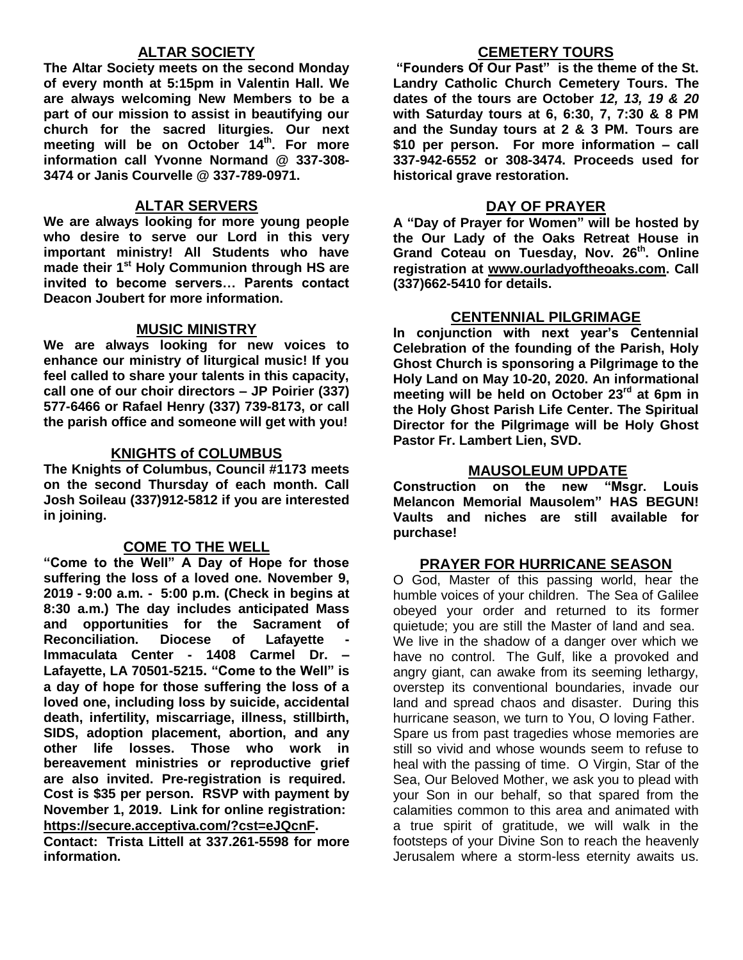# **ALTAR SOCIETY**

**The Altar Society meets on the second Monday of every month at 5:15pm in Valentin Hall. We are always welcoming New Members to be a part of our mission to assist in beautifying our church for the sacred liturgies. Our next meeting will be on October 14th . For more information call Yvonne Normand @ 337-308- 3474 or Janis Courvelle @ 337-789-0971.** 

# **ALTAR SERVERS**

**We are always looking for more young people who desire to serve our Lord in this very important ministry! All Students who have made their 1st Holy Communion through HS are invited to become servers… Parents contact Deacon Joubert for more information.**

# **MUSIC MINISTRY**

**We are always looking for new voices to enhance our ministry of liturgical music! If you feel called to share your talents in this capacity, call one of our choir directors – JP Poirier (337) 577-6466 or Rafael Henry (337) 739-8173, or call the parish office and someone will get with you!**

# **KNIGHTS of COLUMBUS**

**The Knights of Columbus, Council #1173 meets on the second Thursday of each month. Call Josh Soileau (337)912-5812 if you are interested in joining.** 

# **COME TO THE WELL**

**"Come to the Well" A Day of Hope for those suffering the loss of a loved one. November 9, 2019 - 9:00 a.m. - 5:00 p.m. (Check in begins at 8:30 a.m.) The day includes anticipated Mass and opportunities for the Sacrament of Reconciliation.** Diocese of Lafayette **Immaculata Center - 1408 Carmel Dr. – Lafayette, LA 70501-5215. "Come to the Well" is a day of hope for those suffering the loss of a loved one, including loss by suicide, accidental death, infertility, miscarriage, illness, stillbirth, SIDS, adoption placement, abortion, and any other life losses. Those who work in bereavement ministries or reproductive grief are also invited. Pre-registration is required. Cost is \$35 per person. RSVP with payment by November 1, 2019. Link for online registration:**

**<https://secure.acceptiva.com/?cst=eJQcnF>.** 

**Contact: Trista Littell at 337.261-5598 for more information.**

# **CEMETERY TOURS**

**"Founders Of Our Past" is the theme of the St. Landry Catholic Church Cemetery Tours. The dates of the tours are October** *12, 13, 19 & 20* **with Saturday tours at 6, 6:30, 7, 7:30 & 8 PM and the Sunday tours at 2 & 3 PM. Tours are \$10 per person. For more information – call 337-942-6552 or 308-3474. Proceeds used for historical grave restoration.**

### **DAY OF PRAYER**

**A "Day of Prayer for Women" will be hosted by the Our Lady of the Oaks Retreat House in Grand Coteau on Tuesday, Nov. 26th . Online registration at [www.ourladyoftheoaks.com.](http://www.ourladyoftheoaks.com/) Call (337)662-5410 for details.**

# **CENTENNIAL PILGRIMAGE**

**In conjunction with next year's Centennial Celebration of the founding of the Parish, Holy Ghost Church is sponsoring a Pilgrimage to the Holy Land on May 10-20, 2020. An informational meeting will be held on October 23rd at 6pm in the Holy Ghost Parish Life Center. The Spiritual Director for the Pilgrimage will be Holy Ghost Pastor Fr. Lambert Lien, SVD.** 

# **MAUSOLEUM UPDATE**

**Construction on the new "Msgr. Louis Melancon Memorial Mausolem" HAS BEGUN! Vaults and niches are still available for purchase!**

# **PRAYER FOR HURRICANE SEASON**

O God, Master of this passing world, hear the humble voices of your children. The Sea of Galilee obeyed your order and returned to its former quietude; you are still the Master of land and sea. We live in the shadow of a danger over which we have no control. The Gulf, like a provoked and angry giant, can awake from its seeming lethargy, overstep its conventional boundaries, invade our land and spread chaos and disaster. During this hurricane season, we turn to You, O loving Father. Spare us from past tragedies whose memories are still so vivid and whose wounds seem to refuse to heal with the passing of time. O Virgin, Star of the Sea, Our Beloved Mother, we ask you to plead with your Son in our behalf, so that spared from the calamities common to this area and animated with a true spirit of gratitude, we will walk in the footsteps of your Divine Son to reach the heavenly Jerusalem where a storm-less eternity awaits us.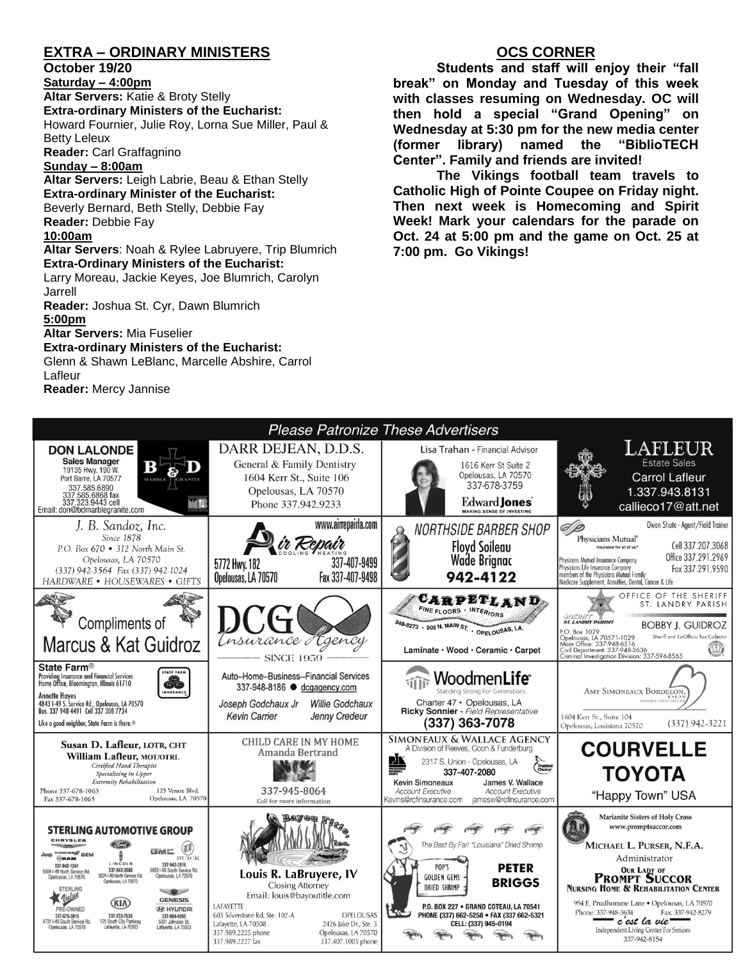# **EXTRA – ORDINARY MINISTERS**

### **October 19/20**

**Saturday – 4:00pm Altar Servers:** Katie & Broty Stelly **Extra-ordinary Ministers of the Eucharist:**  Howard Fournier, Julie Roy, Lorna Sue Miller, Paul & Betty Leleux **Reader:** Carl Graffagnino

**Sunday – 8:00am**

**Altar Servers:** Leigh Labrie, Beau & Ethan Stelly **Extra-ordinary Minister of the Eucharist:** Beverly Bernard, Beth Stelly, Debbie Fay **Reader:** Debbie Fay **10:00am**

### **Altar Servers**: Noah & Rylee Labruyere, Trip Blumrich **Extra-Ordinary Ministers of the Eucharist:**

Larry Moreau, Jackie Keyes, Joe Blumrich, Carolyn Jarrell

**Reader:** Joshua St. Cyr, Dawn Blumrich **5:00pm** 

**Altar Servers:** Mia Fuselier

# **Extra-ordinary Ministers of the Eucharist:**

Glenn & Shawn LeBlanc, Marcelle Abshire, Carrol Lafleur **Reader:** Mercy Jannise

# **OCS CORNER**

**Students and staff will enjoy their "fall break" on Monday and Tuesday of this week with classes resuming on Wednesday. OC will then hold a special "Grand Opening" on Wednesday at 5:30 pm for the new media center (former library) named the "BiblioTECH Center". Family and friends are invited!**

**The Vikings football team travels to Catholic High of Pointe Coupee on Friday night. Then next week is Homecoming and Spirit Week! Mark your calendars for the parade on Oct. 24 at 5:00 pm and the game on Oct. 25 at 7:00 pm. Go Vikings!**